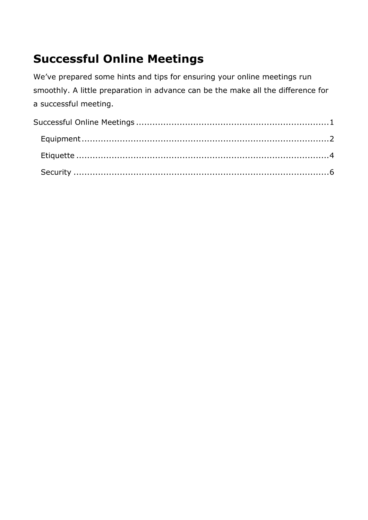# <span id="page-0-0"></span>**Successful Online Meetings**

We've prepared some hints and tips for ensuring your online meetings run smoothly. A little preparation in advance can be the make all the difference for a successful meeting.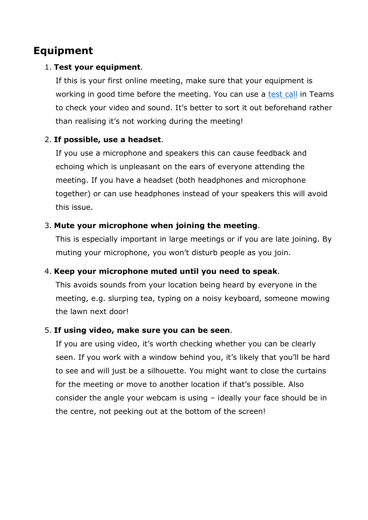# <span id="page-1-0"></span>**Equipment**

#### 1. **Test your equipment**.

If this is your first online meeting, make sure that your equipment is working in good time before the meeting. You can use a [test call](https://www.aber.ac.uk/en/media/departmental/web/Online-meetings-with-Teams.pdf#page=4) in Teams to check your video and sound. It's better to sort it out beforehand rather than realising it's not working during the meeting!

#### 2. **If possible, use a headset**.

If you use a microphone and speakers this can cause feedback and echoing which is unpleasant on the ears of everyone attending the meeting. If you have a headset (both headphones and microphone together) or can use headphones instead of your speakers this will avoid this issue.

#### 3. **Mute your microphone when joining the meeting**.

This is especially important in large meetings or if you are late joining. By muting your microphone, you won't disturb people as you join.

#### 4. **Keep your microphone muted until you need to speak**.

This avoids sounds from your location being heard by everyone in the meeting, e.g. slurping tea, typing on a noisy keyboard, someone mowing the lawn next door!

#### 5. **If using video, make sure you can be seen**.

If you are using video, it's worth checking whether you can be clearly seen. If you work with a window behind you, it's likely that you'll be hard to see and will just be a silhouette. You might want to close the curtains for the meeting or move to another location if that's possible. Also consider the angle your webcam is using – ideally your face should be in the centre, not peeking out at the bottom of the screen!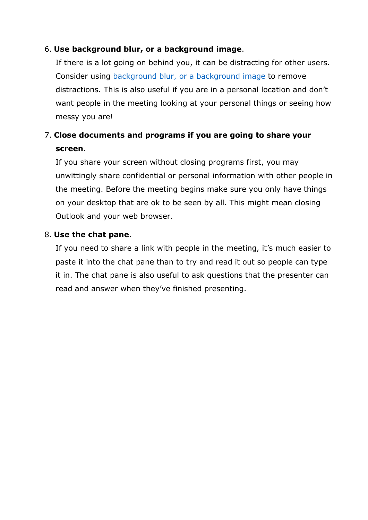#### 6. **Use background blur, or a background image**.

If there is a lot going on behind you, it can be distracting for other users. Consider using [background blur, or a background image](https://www.aber.ac.uk/en/media/departmental/web/Online-meetings-with-Teams.pdf#page=19) to remove distractions. This is also useful if you are in a personal location and don't want people in the meeting looking at your personal things or seeing how messy you are!

### 7. **Close documents and programs if you are going to share your screen**.

If you share your screen without closing programs first, you may unwittingly share confidential or personal information with other people in the meeting. Before the meeting begins make sure you only have things on your desktop that are ok to be seen by all. This might mean closing Outlook and your web browser.

#### 8. **Use the chat pane**.

If you need to share a link with people in the meeting, it's much easier to paste it into the chat pane than to try and read it out so people can type it in. The chat pane is also useful to ask questions that the presenter can read and answer when they've finished presenting.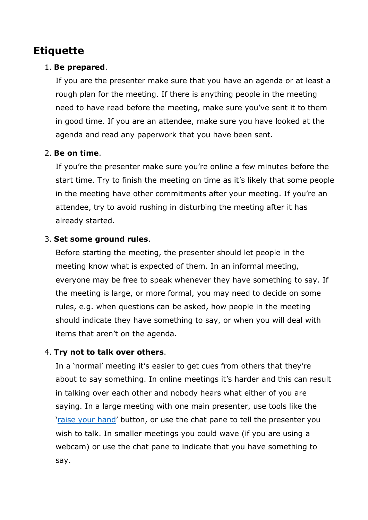# <span id="page-3-0"></span>**Etiquette**

#### 1. **Be prepared**.

If you are the presenter make sure that you have an agenda or at least a rough plan for the meeting. If there is anything people in the meeting need to have read before the meeting, make sure you've sent it to them in good time. If you are an attendee, make sure you have looked at the agenda and read any paperwork that you have been sent.

#### 2. **Be on time**.

If you're the presenter make sure you're online a few minutes before the start time. Try to finish the meeting on time as it's likely that some people in the meeting have other commitments after your meeting. If you're an attendee, try to avoid rushing in disturbing the meeting after it has already started.

#### 3. **Set some ground rules**.

Before starting the meeting, the presenter should let people in the meeting know what is expected of them. In an informal meeting, everyone may be free to speak whenever they have something to say. If the meeting is large, or more formal, you may need to decide on some rules, e.g. when questions can be asked, how people in the meeting should indicate they have something to say, or when you will deal with items that aren't on the agenda.

#### 4. **Try not to talk over others**.

In a 'normal' meeting it's easier to get cues from others that they're about to say something. In online meetings it's harder and this can result in talking over each other and nobody hears what either of you are saying. In a large meeting with one main presenter, use tools like the ['raise your hand'](https://www.aber.ac.uk/en/media/departmental/web/Online-meetings-with-Teams.pdf#page=22) button, or use the chat pane to tell the presenter you wish to talk. In smaller meetings you could wave (if you are using a webcam) or use the chat pane to indicate that you have something to say.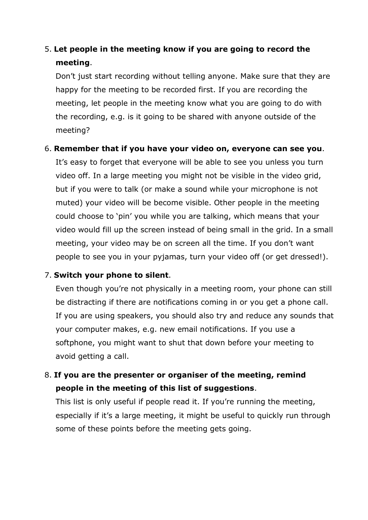# 5. **Let people in the meeting know if you are going to record the meeting**.

Don't just start recording without telling anyone. Make sure that they are happy for the meeting to be recorded first. If you are recording the meeting, let people in the meeting know what you are going to do with the recording, e.g. is it going to be shared with anyone outside of the meeting?

#### 6. **Remember that if you have your video on, everyone can see you**.

It's easy to forget that everyone will be able to see you unless you turn video off. In a large meeting you might not be visible in the video grid, but if you were to talk (or make a sound while your microphone is not muted) your video will be become visible. Other people in the meeting could choose to 'pin' you while you are talking, which means that your video would fill up the screen instead of being small in the grid. In a small meeting, your video may be on screen all the time. If you don't want people to see you in your pyjamas, turn your video off (or get dressed!).

#### 7. **Switch your phone to silent**.

Even though you're not physically in a meeting room, your phone can still be distracting if there are notifications coming in or you get a phone call. If you are using speakers, you should also try and reduce any sounds that your computer makes, e.g. new email notifications. If you use a softphone, you might want to shut that down before your meeting to avoid getting a call.

### 8. **If you are the presenter or organiser of the meeting, remind people in the meeting of this list of suggestions**.

This list is only useful if people read it. If you're running the meeting, especially if it's a large meeting, it might be useful to quickly run through some of these points before the meeting gets going.